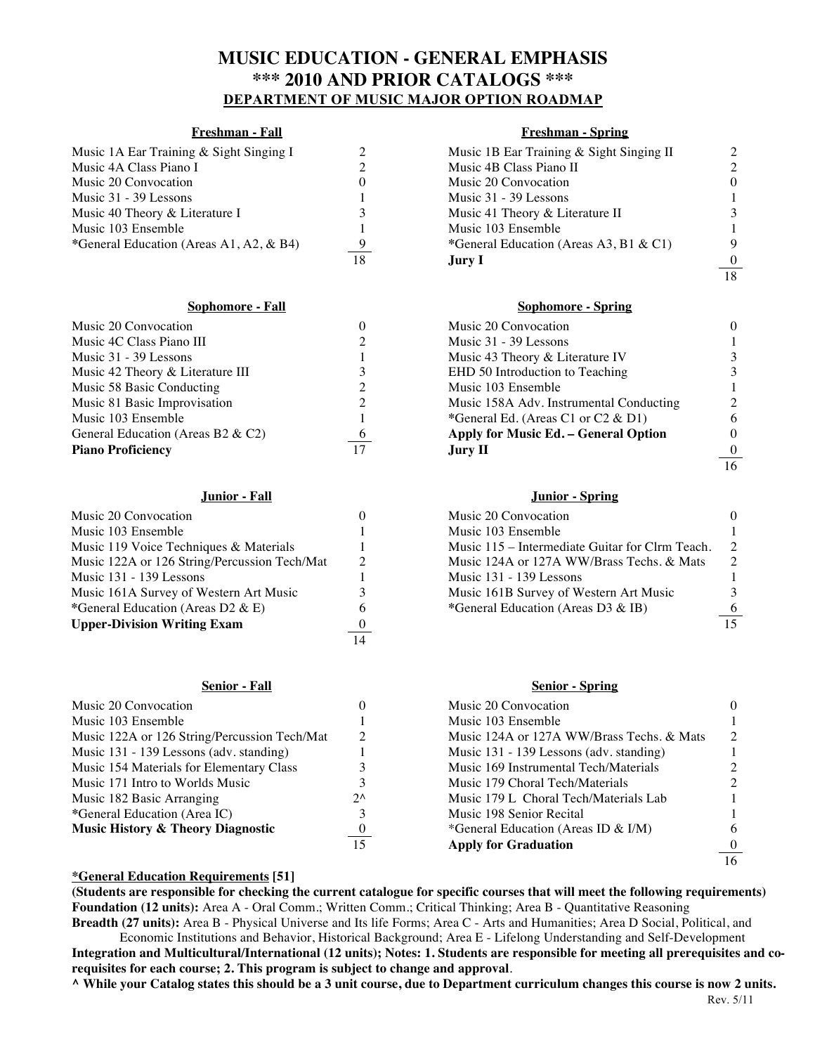# **MUSIC EDUCATION - GENERAL EMPHASIS \*\*\* 2010 AND PRIOR CATALOGS \*\*\* DEPARTMENT OF MUSIC MAJOR OPTION ROADMAP**

| Music 1A Ear Training & Sight Singing I |  |
|-----------------------------------------|--|
| Music 4A Class Piano I                  |  |
| Music 20 Convocation                    |  |
| Music 31 - 39 Lessons                   |  |
| Music 40 Theory & Literature I          |  |
| Music 103 Ensemble                      |  |
| *General Education (Areas A1, A2, & B4) |  |
|                                         |  |

| Music 20 Convocation                 |                | Music 20 Convocation                    |                |
|--------------------------------------|----------------|-----------------------------------------|----------------|
| Music 4C Class Piano III             |                | Music 31 - 39 Lessons                   |                |
| Music 31 - 39 Lessons                |                | Music 43 Theory & Literature IV         | 3              |
| Music 42 Theory & Literature III     |                | EHD 50 Introduction to Teaching         | 3              |
| Music 58 Basic Conducting            |                | Music 103 Ensemble                      |                |
| Music 81 Basic Improvisation         |                | Music 158A Adv. Instrumental Conducting | $\overline{2}$ |
| Music 103 Ensemble                   |                | *General Ed. (Areas C1 or C2 & D1)      | 6              |
| General Education (Areas B2 $\&$ C2) | $\overline{6}$ | Apply for Music Ed. – General Option    | 0              |
| <b>Piano Proficiency</b>             |                | Jury II                                 |                |

| Music 20 Convocation                         |          | Music 20 Convocation                            |                 |
|----------------------------------------------|----------|-------------------------------------------------|-----------------|
| Music 103 Ensemble                           |          | Music 103 Ensemble                              |                 |
| Music 119 Voice Techniques & Materials       |          | Music 115 – Intermediate Guitar for Clrm Teach. | $\overline{2}$  |
| Music 122A or 126 String/Percussion Tech/Mat |          | Music 124A or 127A WW/Brass Techs. & Mats       | $\mathcal{D}$   |
| Music 131 - 139 Lessons                      |          | Music 131 - 139 Lessons                         |                 |
| Music 161A Survey of Western Art Music       |          | Music 161B Survey of Western Art Music          | 3               |
| *General Education (Areas D2 & E)            | h        | *General Education (Areas D3 & IB)              | 6               |
| <b>Upper-Division Writing Exam</b>           | $\theta$ |                                                 | $\overline{15}$ |
|                                              | 14       |                                                 |                 |

| Music 20 Convocation                         |  |
|----------------------------------------------|--|
| Music 103 Ensemble                           |  |
| Music 122A or 126 String/Percussion Tech/Mat |  |
| Music 131 - 139 Lessons (adv. standing)      |  |
| Music 154 Materials for Elementary Class     |  |
| Music 171 Intro to Worlds Music              |  |
| Music 182 Basic Arranging                    |  |
| *General Education (Area IC)                 |  |
| <b>Music History &amp; Theory Diagnostic</b> |  |
|                                              |  |

## **Freshman - Fall Freshman - Spring**

| Music 1A Ear Training & Sight Singing I |          | Music 1B Ear Training & Sight Singing II |                |
|-----------------------------------------|----------|------------------------------------------|----------------|
| Music 4A Class Piano I                  |          | Music 4B Class Piano II                  | 2              |
| Music 20 Convocation                    | $\theta$ | Music 20 Convocation                     | $\theta$       |
| Music 31 - 39 Lessons                   |          | Music 31 - 39 Lessons                    |                |
| Music 40 Theory & Literature I          |          | Music 41 Theory & Literature II          | 3              |
| Music 103 Ensemble                      |          | Music 103 Ensemble                       |                |
| *General Education (Areas A1, A2, & B4) | 9        | *General Education (Areas A3, B1 & C1)   | 9              |
|                                         | 18       | Jury I.                                  | $\frac{0}{18}$ |
|                                         |          |                                          |                |

### **Sophomore - Fall Sophomore - Spring**

| Music 20 Convocation                |    | Music 20 Convocation                    | $\Omega$         |
|-------------------------------------|----|-----------------------------------------|------------------|
| Music 4C Class Piano III            |    | Music 31 - 39 Lessons                   |                  |
| Music 31 - 39 Lessons               |    | Music 43 Theory & Literature IV         | 3                |
| Music 42 Theory & Literature III    |    | EHD 50 Introduction to Teaching         | 3                |
| Music 58 Basic Conducting           |    | Music 103 Ensemble                      |                  |
| Music 81 Basic Improvisation        |    | Music 158A Adv. Instrumental Conducting | $\overline{2}$   |
| Music 103 Ensemble                  |    | *General Ed. (Areas C1 or C2 $&$ D1)    | 6                |
| General Education (Areas B2 $&C2$ ) | 6  | Apply for Music Ed. - General Option    | $\Omega$         |
| <b>Piano Proficiency</b>            | 17 | <b>Jury II</b>                          | $\boldsymbol{0}$ |
|                                     |    |                                         | $\overline{16}$  |

### **Junior - Fall Junior - Spring**

| Music 20 Convocation                         | $\theta$ | Music 20 Convocation                            | $\Omega$        |
|----------------------------------------------|----------|-------------------------------------------------|-----------------|
| Music 103 Ensemble                           |          | Music 103 Ensemble                              |                 |
| Music 119 Voice Techniques & Materials       |          | Music 115 – Intermediate Guitar for Clrm Teach. | $\overline{2}$  |
| Music 122A or 126 String/Percussion Tech/Mat |          | Music 124A or 127A WW/Brass Techs. & Mats       | $\mathcal{D}$   |
| Music 131 - 139 Lessons                      |          | Music 131 - 139 Lessons                         |                 |
| Music 161A Survey of Western Art Music       |          | Music 161B Survey of Western Art Music          | 3               |
| *General Education (Areas D2 & E)            | h        | *General Education (Areas D3 & IB)              | -6              |
| Unnen Division Waiting From                  |          |                                                 | $\overline{15}$ |

### **Senior - Fall Senior - Spring**

| Music 20 Convocation                         |                  | Music 20 Convocation                      | 0              |
|----------------------------------------------|------------------|-------------------------------------------|----------------|
| Music 103 Ensemble                           |                  | Music 103 Ensemble                        |                |
| Music 122A or 126 String/Percussion Tech/Mat |                  | Music 124A or 127A WW/Brass Techs. & Mats | $\overline{2}$ |
| Music 131 - 139 Lessons (adv. standing)      |                  | Music 131 - 139 Lessons (adv. standing)   |                |
| Music 154 Materials for Elementary Class     |                  | Music 169 Instrumental Tech/Materials     |                |
| Music 171 Intro to Worlds Music              |                  | Music 179 Choral Tech/Materials           |                |
| Music 182 Basic Arranging                    | $2^{\wedge}$     | Music 179 L Choral Tech/Materials Lab     |                |
| *General Education (Area IC)                 |                  | Music 198 Senior Recital                  |                |
| <b>Music History &amp; Theory Diagnostic</b> | $\boldsymbol{0}$ | *General Education (Areas ID & I/M)       | 6              |
|                                              | 15               | <b>Apply for Graduation</b>               | $\theta$       |
|                                              |                  |                                           | 16             |

### **\*General Education Requirements [51]**

**(Students are responsible for checking the current catalogue for specific courses that will meet the following requirements) Foundation (12 units):** Area A - Oral Comm.; Written Comm.; Critical Thinking; Area B - Quantitative Reasoning **Breadth (27 units):** Area B - Physical Universe and Its life Forms; Area C - Arts and Humanities; Area D Social, Political, and

Economic Institutions and Behavior, Historical Background; Area E - Lifelong Understanding and Self-Development **Integration and Multicultural/International (12 units); Notes: 1. Students are responsible for meeting all prerequisites and corequisites for each course; 2. This program is subject to change and approval**.

Rev. 5/11 **^ While your Catalog states this should be a 3 unit course, due to Department curriculum changes this course is now 2 units.**